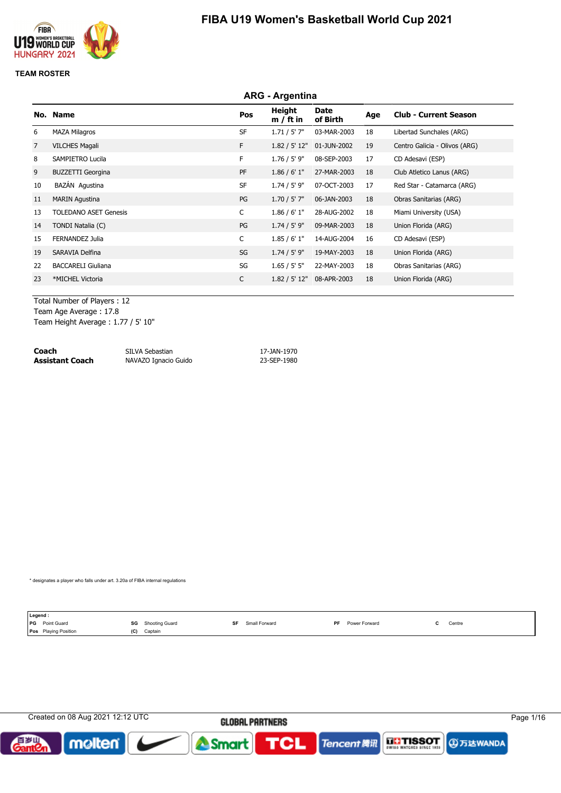

### **TEAM ROSTER**

|                |                              |           | <b>ARG</b> - Argentina |                         |     |                               |
|----------------|------------------------------|-----------|------------------------|-------------------------|-----|-------------------------------|
|                | No. Name                     | Pos       | Height<br>$m / ft$ in  | <b>Date</b><br>of Birth | Age | <b>Club - Current Season</b>  |
| 6              | <b>MAZA Milagros</b>         | <b>SF</b> | 1.71 / 5' 7''          | 03-MAR-2003             | 18  | Libertad Sunchales (ARG)      |
| $\overline{7}$ | <b>VILCHES Magali</b>        | F.        | 1.82 / 5' 12"          | 01-JUN-2002             | 19  | Centro Galicia - Olivos (ARG) |
| 8              | SAMPIETRO Lucila             | F         | $1.76 / 5'$ 9"         | 08-SEP-2003             | 17  | CD Adesavi (ESP)              |
| 9              | <b>BUZZETTI Georgina</b>     | PF        | 1.86 / 6' 1''          | 27-MAR-2003             | 18  | Club Atletico Lanus (ARG)     |
| 10             | BAZÁN Agustina               | <b>SF</b> | $1.74 / 5'$ 9"         | 07-OCT-2003             | 17  | Red Star - Catamarca (ARG)    |
| 11             | <b>MARIN Agustina</b>        | PG        | $1.70 / 5'$ 7"         | 06-JAN-2003             | 18  | Obras Sanitarias (ARG)        |
| 13             | <b>TOLEDANO ASET Genesis</b> | C         | 1.86 / 6' 1''          | 28-AUG-2002             | 18  | Miami University (USA)        |
| 14             | TONDI Natalia (C)            | PG        | $1.74 / 5'$ 9"         | 09-MAR-2003             | 18  | Union Florida (ARG)           |
| 15             | <b>FERNANDEZ Julia</b>       | C         | 1.85/6'1"              | 14-AUG-2004             | 16  | CD Adesavi (ESP)              |
| 19             | SARAVIA Delfina              | SG        | $1.74 / 5'$ 9"         | 19-MAY-2003             | 18  | Union Florida (ARG)           |
| 22             | <b>BACCARELI Giuliana</b>    | SG        | 1.65 / 5' 5''          | 22-MAY-2003             | 18  | Obras Sanitarias (ARG)        |
| 23             | *MICHEL Victoria             | C         | 1.82 / 5' 12"          | 08-APR-2003             | 18  | Union Florida (ARG)           |
|                |                              |           |                        |                         |     |                               |

Total Number of Players : 12 Team Age Average : 17.8 Team Height Average : 1.77 / 5' 10"

| Coach           | SILVA Sebastian      | 17-JAN-1970 |
|-----------------|----------------------|-------------|
| Assistant Coach | NAVAZO Ignacio Guido | 23-SEP-1980 |

\* designates a player who falls under art. 3.20a of FIBA internal regulations

|            | Legend:                                                        |     |                |    |               |    |                      |                                               |
|------------|----------------------------------------------------------------|-----|----------------|----|---------------|----|----------------------|-----------------------------------------------|
| <b>IPG</b> | Point Guard<br>the contract of the contract of the contract of | SG  | Shooting Guard | SF | Small Forward | PF | <b>Power Forward</b> | Centre<br>the contract of the contract of the |
| Pos        | <b>Playing Position</b>                                        | (C) | Captain        |    |               |    |                      |                                               |

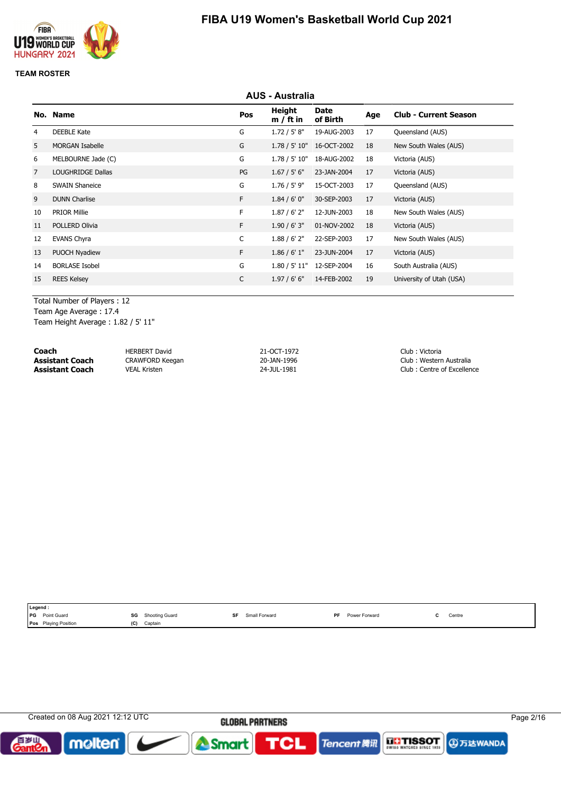

#### **TEAM ROSTER**

|                |                          |     | AUS - Australia       |                         |     |                              |
|----------------|--------------------------|-----|-----------------------|-------------------------|-----|------------------------------|
|                | No. Name                 | Pos | Height<br>$m / ft$ in | <b>Date</b><br>of Birth | Age | <b>Club - Current Season</b> |
| 4              | <b>DEEBLE Kate</b>       | G   | 1.72 / 5' 8''         | 19-AUG-2003             | 17  | Queensland (AUS)             |
| 5              | <b>MORGAN Isabelle</b>   | G   | 1.78 / 5' 10"         | 16-OCT-2002             | 18  | New South Wales (AUS)        |
| 6              | MELBOURNE Jade (C)       | G   | 1.78 / 5' 10"         | 18-AUG-2002             | 18  | Victoria (AUS)               |
| $\overline{7}$ | <b>LOUGHRIDGE Dallas</b> | PG  | 1.67 / 5' 6''         | 23-JAN-2004             | 17  | Victoria (AUS)               |
| 8              | <b>SWAIN Shaneice</b>    | G   | $1.76 / 5'$ 9"        | 15-OCT-2003             | 17  | Queensland (AUS)             |
| 9              | <b>DUNN Charlise</b>     | F.  | 1.84 / 6' 0''         | 30-SEP-2003             | 17  | Victoria (AUS)               |
| 10             | <b>PRIOR Millie</b>      | F   | 1.87 / 6' 2''         | 12-JUN-2003             | 18  | New South Wales (AUS)        |
| 11             | POLLERD Olivia           | F.  | 1.90 / 6' 3''         | 01-NOV-2002             | 18  | Victoria (AUS)               |
| 12             | <b>EVANS Chyra</b>       | C   | 1.88 / 6' 2''         | 22-SEP-2003             | 17  | New South Wales (AUS)        |
| 13             | PUOCH Nyadiew            | F.  | 1.86 / 6' 1''         | 23-JUN-2004             | 17  | Victoria (AUS)               |
| 14             | <b>BORLASE Isobel</b>    | G   | 1.80 / 5' 11"         | 12-SEP-2004             | 16  | South Australia (AUS)        |
| 15             | <b>REES Kelsey</b>       | C   | 1.97/6'6''            | 14-FEB-2002             | 19  | University of Utah (USA)     |
|                |                          |     |                       |                         |     |                              |

Total Number of Players : 12 Team Age Average : 17.4 Team Height Average : 1.82 / 5' 11"

**Coach** HERBERT David 21-OCT-1972<br> **Assistant Coach** CRAWFORD Keegan 20-JAN-1996 20-JAN-1996 Club : Westerr **Assistant Coach** CRAWFORD Keegan 20-JAN-1996 20-JAN-1996 Club : Western Australia **Assistant Coach** VEAL Kristen 24-JUL-1981 Club : Centre of Excellence

|      | Legend :                                                       |     |                                                   |               |           |               |                                               |
|------|----------------------------------------------------------------|-----|---------------------------------------------------|---------------|-----------|---------------|-----------------------------------------------|
| I PG | Point Guard<br>the contract of the contract of the contract of | SG  | Shooting Guard<br>the contract of the contract of | Small Forward | <b>DE</b> | Power Forward | Centre<br>the contract of the contract of the |
|      | <b>Playing Position</b><br>Pos                                 | (C) | Captain                                           |               |           |               |                                               |

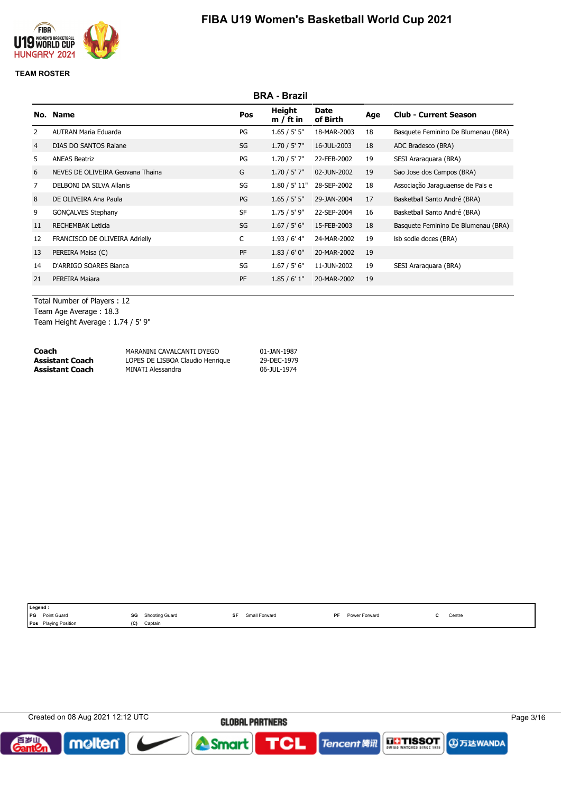

### **TEAM ROSTER**

|                |                                  |           | <b>BRA - Brazil</b>   |                         |     |                                     |
|----------------|----------------------------------|-----------|-----------------------|-------------------------|-----|-------------------------------------|
|                | No. Name                         | Pos       | Height<br>$m / ft$ in | <b>Date</b><br>of Birth | Age | <b>Club - Current Season</b>        |
| 2              | <b>AUTRAN Maria Eduarda</b>      | PG        | 1.65 / 5' 5''         | 18-MAR-2003             | 18  | Basquete Feminino De Blumenau (BRA) |
| $\overline{4}$ | DIAS DO SANTOS Rajane            | SG        | $1.70 / 5'$ 7"        | 16-JUL-2003             | 18  | ADC Bradesco (BRA)                  |
| 5.             | <b>ANEAS Beatriz</b>             | PG        | $1.70 / 5'$ 7"        | 22-FEB-2002             | 19  | SESI Araraguara (BRA)               |
| 6              | NEVES DE OLIVEIRA Geovana Thaina | G         | $1.70 / 5'$ 7"        | 02-JUN-2002             | 19  | Sao Jose dos Campos (BRA)           |
| $\overline{7}$ | DELBONI DA SILVA Allanis         | SG        | 1.80 / 5' 11"         | 28-SEP-2002             | 18  | Associação Jaraquaense de Pais e    |
| 8              | DE OLIVEIRA Ana Paula            | PG        | 1.65 / 5' 5''         | 29-JAN-2004             | 17  | Basketball Santo André (BRA)        |
| 9              | <b>GONCALVES Stephany</b>        | <b>SF</b> | $1.75 / 5'$ 9"        | 22-SEP-2004             | 16  | Basketball Santo André (BRA)        |
| 11             | <b>RECHEMBAK Leticia</b>         | SG        | 1.67 / 5' 6''         | 15-FEB-2003             | 18  | Basquete Feminino De Blumenau (BRA) |
| 12             | FRANCISCO DE OLIVEIRA Adrielly   | C         | $1.93/6'$ 4"          | 24-MAR-2002             | 19  | Isb sodie doces (BRA)               |
| 13             | PEREIRA Maisa (C)                | PF        | 1.83 / 6' 0''         | 20-MAR-2002             | 19  |                                     |
| 14             | D'ARRIGO SOARES Bianca           | SG        | 1.67 / 5' 6''         | 11-JUN-2002             | 19  | SESI Araraguara (BRA)               |
| 21             | PEREIRA Majara                   | PF        | 1.85/6'1"             | 20-MAR-2002             | 19  |                                     |
|                |                                  |           |                       |                         |     |                                     |

Total Number of Players : 12 Team Age Average : 18.3 Team Height Average : 1.74 / 5' 9"

| Coach           | MARANINI CAVALCANTI DYEGO        | 01-JAN-1987 |
|-----------------|----------------------------------|-------------|
| Assistant Coach | LOPES DE LISBOA Claudio Henrique | 29-DEC-1979 |
| Assistant Coach | MINATI Alessandra                | 06-JUL-1974 |

|            | Legend:                     |     |                |     |               |           |               |        |
|------------|-----------------------------|-----|----------------|-----|---------------|-----------|---------------|--------|
| <b>IPG</b> | Point Guard                 | SG  | Shooting Guard | SF. | Small Forward | <b>DF</b> | Power Forward | Centre |
|            | <b>Pos</b> Playing Position | (C) | Captain        |     |               |           |               |        |

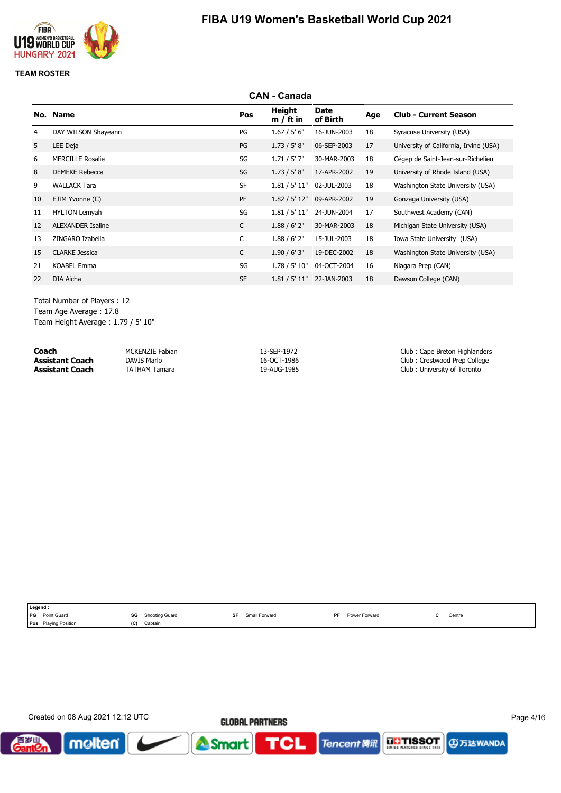

#### **TEAM ROSTER**

|    |                          |           | <b>CAN - Canada</b>          |                           |     |                                        |
|----|--------------------------|-----------|------------------------------|---------------------------|-----|----------------------------------------|
|    | No. Name                 | Pos       | <b>Height</b><br>$m / ft$ in | Date<br>of Birth          | Age | <b>Club - Current Season</b>           |
| 4  | DAY WILSON Shayeann      | PG        | 1.67 / 5' 6''                | 16-JUN-2003               | 18  | Syracuse University (USA)              |
| 5  | LEE Deja                 | PG        | 1.73 / 5' 8''                | 06-SEP-2003               | 17  | University of California, Irvine (USA) |
| 6  | <b>MERCILLE Rosalie</b>  | SG        | 1.71 / 5' 7''                | 30-MAR-2003               | 18  | Cégep de Saint-Jean-sur-Richelieu      |
| 8  | <b>DEMEKE Rebecca</b>    | SG        | 1.73 / 5' 8''                | 17-APR-2002               | 19  | University of Rhode Island (USA)       |
| 9  | <b>WALLACK Tara</b>      | <b>SF</b> |                              | 1.81 / 5' 11" 02-JUL-2003 | 18  | Washington State University (USA)      |
| 10 | EJIM Yvonne (C)          | PF        |                              | 1.82 / 5' 12" 09-APR-2002 | 19  | Gonzaga University (USA)               |
| 11 | <b>HYLTON Lemyah</b>     | SG        | 1.81 / 5' 11"                | 24-JUN-2004               | 17  | Southwest Academy (CAN)                |
| 12 | <b>ALEXANDER Isaline</b> | C         | 1.88 / 6' 2''                | 30-MAR-2003               | 18  | Michigan State University (USA)        |
| 13 | ZINGARO Izabella         | C         | 1.88 / 6' 2''                | 15-JUL-2003               | 18  | Iowa State University (USA)            |
| 15 | <b>CLARKE Jessica</b>    | C         | 1.90/6'3''                   | 19-DEC-2002               | 18  | Washington State University (USA)      |
| 21 | <b>KOABEL Emma</b>       | SG        | 1.78 / 5' 10"                | 04-OCT-2004               | 16  | Niagara Prep (CAN)                     |
| 22 | DIA Aicha                | <b>SF</b> | 1.81 / 5' 11"                | 22-JAN-2003               | 18  | Dawson College (CAN)                   |
|    |                          |           |                              |                           |     |                                        |

Total Number of Players : 12 Team Age Average : 17.8 Team Height Average : 1.79 / 5' 10"

**Coach** 13-SEP-1972 Club : Cape Breton Highlanders<br>
13-SEP-1972 Club : Cape Breton Highlanders<br>
16-OCT-1986 Club : Crestwood Prep College **Club : Crestwood Prep College Assistant Coach** TATHAM Tamara 19-AUG-1985 Club : University of Toronto

| Legend :                                                                 |     |                |               |           |               |                                           |
|--------------------------------------------------------------------------|-----|----------------|---------------|-----------|---------------|-------------------------------------------|
| <b>PG</b> Point Guard<br>the contract of the contract of the contract of | SG  | Shooting Guard | Small Forward | <b>DF</b> | Power Forward | Centre<br>the contract of the contract of |
| <b>Pos</b> Playing Position                                              | (C) | Captain        |               |           |               |                                           |

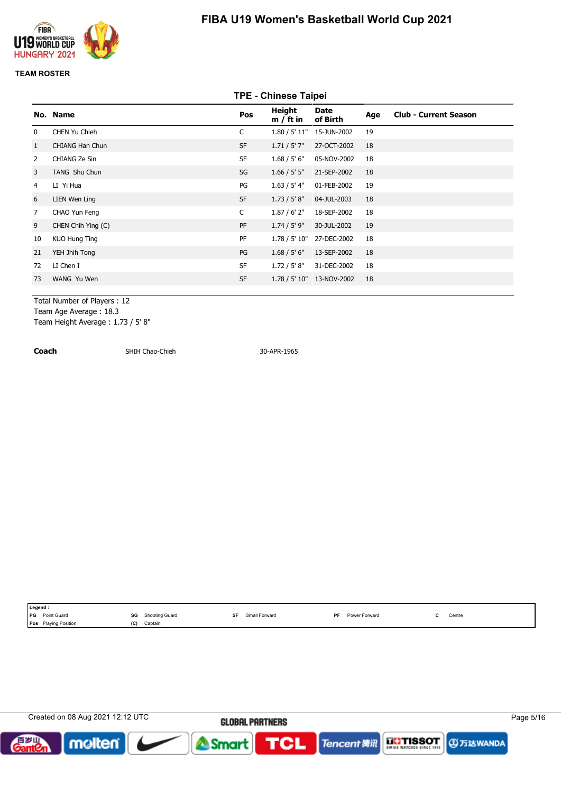

#### **TEAM ROSTER**

### **TPE - Chinese Taipei**

|                | No. Name             | Pos          | Height<br>$m / ft$ in | <b>Date</b><br>of Birth   | Age | <b>Club - Current Season</b> |
|----------------|----------------------|--------------|-----------------------|---------------------------|-----|------------------------------|
| 0              | CHEN Yu Chieh        | C            |                       | 1.80 / 5' 11" 15-JUN-2002 | 19  |                              |
| 1              | CHIANG Han Chun      | <b>SF</b>    | $1.71 / 5'$ 7"        | 27-OCT-2002               | 18  |                              |
| 2              | <b>CHIANG Ze Sin</b> | <b>SF</b>    | 1.68 / 5' 6''         | 05-NOV-2002               | 18  |                              |
| 3              | TANG Shu Chun        | SG           | 1.66 / 5' 5''         | 21-SEP-2002               | 18  |                              |
| $\overline{4}$ | LI Yi Hua            | PG           | 1.63 / 5' 4"          | 01-FEB-2002               | 19  |                              |
| 6              | LIEN Wen Ling        | <b>SF</b>    | 1.73 / 5' 8''         | 04-JUL-2003               | 18  |                              |
| 7              | CHAO Yun Feng        | $\mathsf{C}$ | $1.87/6'$ 2"          | 18-SEP-2002               | 18  |                              |
| 9              | CHEN Chih Ying (C)   | PF           | $1.74 / 5'$ 9"        | 30-JUL-2002               | 19  |                              |
| 10             | <b>KUO Hung Ting</b> | PF           | 1.78 / 5' 10"         | 27-DEC-2002               | 18  |                              |
| 21             | YEH Jhih Tong        | PG           | 1.68 / 5' 6''         | 13-SEP-2002               | 18  |                              |
| 72             | LI Chen I            | <b>SF</b>    | 1.72 / 5' 8''         | 31-DEC-2002               | 18  |                              |
| 73             | WANG Yu Wen          | <b>SF</b>    |                       | 1.78 / 5' 10" 13-NOV-2002 | 18  |                              |
|                |                      |              |                       |                           |     |                              |

Total Number of Players : 12 Team Age Average : 18.3

Team Height Average : 1.73 / 5' 8"

**Coach** SHIH Chao-Chieh 30-APR-1965

|            | Legend :                                                                                       |     |                                                       |               |           |                      |                                               |
|------------|------------------------------------------------------------------------------------------------|-----|-------------------------------------------------------|---------------|-----------|----------------------|-----------------------------------------------|
| <b>IPG</b> | Point Guard<br>the contract of the contract of the contract of the contract of the contract of | SG  | Shooting Guard<br>the contract of the contract of the | Small Forward | <b>DF</b> | <b>Power Forward</b> | Centre<br>the contract of the contract of the |
| Pos        | <b>Playing Position</b>                                                                        | (C) | Captain                                               |               |           |                      |                                               |

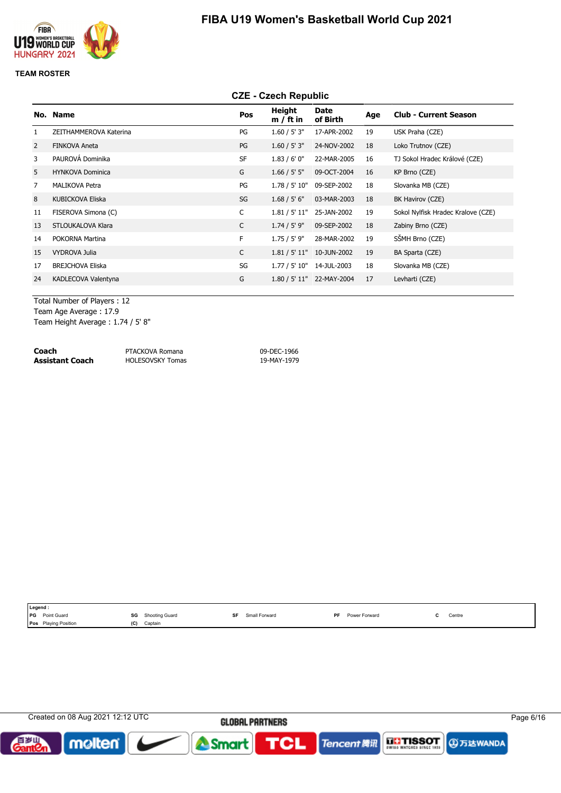

### **TEAM ROSTER**

### **CZE - Czech Republic**

|                | No. Name                | Pos          | Height<br>$m / ft$ in | Date<br>of Birth          | Age | <b>Club - Current Season</b>       |
|----------------|-------------------------|--------------|-----------------------|---------------------------|-----|------------------------------------|
| 1              | ZEITHAMMEROVA Katerina  | PG           | 1.60 / 5' 3''         | 17-APR-2002               | 19  | USK Praha (CZE)                    |
| 2              | FINKOVA Aneta           | PG           | 1.60 / 5' 3''         | 24-NOV-2002               | 18  | Loko Trutnov (CZE)                 |
| 3              | PAUROVÁ Dominika        | <b>SF</b>    | 1.83/6'0''            | 22-MAR-2005               | 16  | TJ Sokol Hradec Králové (CZE)      |
| 5              | <b>HYNKOVA Dominica</b> | G            | 1.66 / 5' 5''         | 09-OCT-2004               | 16  | KP Brno (CZE)                      |
| $\overline{7}$ | <b>MALIKOVA Petra</b>   | PG           | 1.78 / 5' 10"         | 09-SEP-2002               | 18  | Slovanka MB (CZE)                  |
| 8              | <b>KUBICKOVA Eliska</b> | SG           | 1.68 / 5' 6''         | 03-MAR-2003               | 18  | BK Havirov (CZE)                   |
| 11             | FISEROVA Simona (C)     | C            | 1.81 / 5' 11"         | 25-JAN-2002               | 19  | Sokol Nylfisk Hradec Kralove (CZE) |
| 13             | STLOUKALOVA Klara       | $\mathsf{C}$ | $1.74 / 5'$ 9"        | 09-SEP-2002               | 18  | Zabiny Brno (CZE)                  |
| 14             | POKORNA Martina         | F            | 1.75 / 5' 9"          | 28-MAR-2002               | 19  | SŠMH Brno (CZE)                    |
| 15             | <b>VYDROVA Julia</b>    | C            | 1.81 / 5' 11"         | 10-JUN-2002               | 19  | BA Sparta (CZE)                    |
| 17             | <b>BREJCHOVA Eliska</b> | SG           | 1.77 / 5' 10"         | 14-JUL-2003               | 18  | Slovanka MB (CZE)                  |
| 24             | KADLECOVA Valentyna     | G            |                       | 1.80 / 5' 11" 22-MAY-2004 | 17  | Levharti (CZE)                     |

Total Number of Players : 12 Team Age Average : 17.9 Team Height Average : 1.74 / 5' 8"

| Coach           | PTACKOVA Romana         | 09-DEC-1966 |
|-----------------|-------------------------|-------------|
| Assistant Coach | <b>HOLESOVSKY Tomas</b> | 19-MAY-1979 |

| Legend:                  |     |                |    |               |           |               |                                           |
|--------------------------|-----|----------------|----|---------------|-----------|---------------|-------------------------------------------|
| <b>PG</b><br>Point Guard | SG  | Shooting Guard | SF | Small Forward | <b>DF</b> | Power Forward | Centre<br>the contract of the contract of |
| Pos Playing Position     | (C) | Captain        |    |               |           |               |                                           |

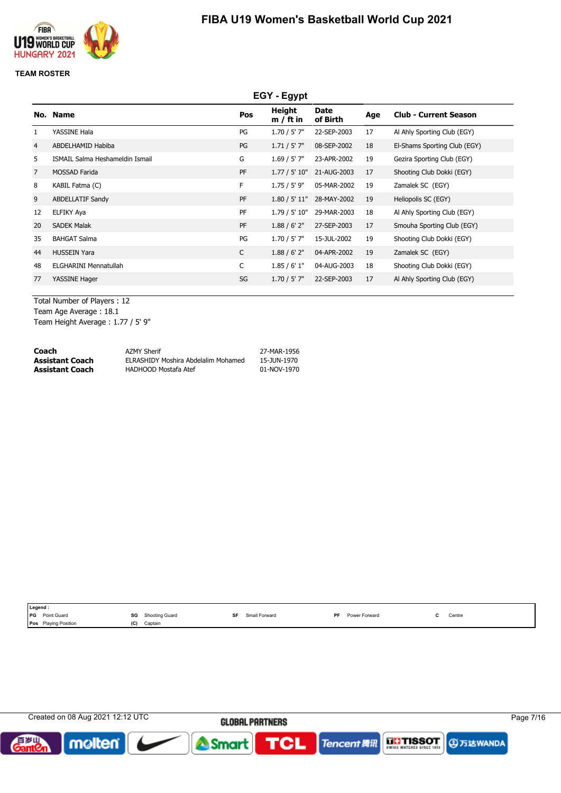

#### **TEAM ROSTER**

|                | EGY - Egypt                     |           |                       |                  |     |                              |
|----------------|---------------------------------|-----------|-----------------------|------------------|-----|------------------------------|
|                | No. Name                        | Pos       | Height<br>$m / ft$ in | Date<br>of Birth | Age | <b>Club - Current Season</b> |
|                | YASSINE Hala                    | PG        | $1.70 / 5'$ 7"        | 22-SEP-2003      | 17  | Al Ahly Sporting Club (EGY)  |
| 4              | ABDELHAMID Habiba               | PG        | 1.71 / 5' 7''         | 08-SEP-2002      | 18  | El-Shams Sporting Club (EGY) |
| 5.             | ISMAIL Salma Heshameldin Ismail | G         | $1.69 / 5'$ 7"        | 23-APR-2002      | 19  | Gezira Sporting Club (EGY)   |
| $\overline{7}$ | <b>MOSSAD Farida</b>            | PF        | 1.77 / 5' 10"         | 21-AUG-2003      | 17  | Shooting Club Dokki (EGY)    |
| 8              | KABIL Fatma (C)                 | F.        | $1.75 / 5'$ 9"        | 05-MAR-2002      | 19  | Zamalek SC (EGY)             |
| 9              | <b>ABDELLATIF Sandy</b>         | <b>PF</b> | 1.80 / 5' 11"         | 28-MAY-2002      | 19  | Heliopolis SC (EGY)          |
| 12             | ELFIKY Aya                      | PF        | 1.79 / 5' 10"         | 29-MAR-2003      | 18  | Al Ahly Sporting Club (EGY)  |
| 20             | <b>SADEK Malak</b>              | PF        | 1.88 / 6' 2''         | 27-SEP-2003      | 17  | Smouha Sporting Club (EGY)   |
| 35             | <b>BAHGAT Salma</b>             | PG        | $1.70 / 5'$ 7"        | 15-JUL-2002      | 19  | Shooting Club Dokki (EGY)    |
| 44             | <b>HUSSEIN Yara</b>             | C         | 1.88 / 6' 2''         | 04-APR-2002      | 19  | Zamalek SC (EGY)             |
| 48             | <b>ELGHARINI Mennatullah</b>    | C         | 1.85/6'1"             | 04-AUG-2003      | 18  | Shooting Club Dokki (EGY)    |
| 77             | YASSINE Hager                   | SG        | $1.70 / 5'$ 7"        | 22-SEP-2003      | 17  | Al Ahly Sporting Club (EGY)  |
|                |                                 |           |                       |                  |     |                              |

Total Number of Players : 12 Team Age Average : 18.1 Team Height Average : 1.77 / 5' 9"

**Legend :**

**Coach** AZMY Sherif 27-MAR-1956 **Assistant Coach** ELRASHIDY Moshira Abdelalim Mohamed 15-JUN-1970 **Assistant Coach** HADHOOD Mostafa Atef 01-NOV-1970

| ∎ ⊨∝g∾na .                                                                                                   |            |                                                   |    |               |           |                      |                                               |
|--------------------------------------------------------------------------------------------------------------|------------|---------------------------------------------------|----|---------------|-----------|----------------------|-----------------------------------------------|
| <b>IPG</b><br>Point Guard<br>the contract of the contract of the contract of the contract of the contract of | SG<br>$ -$ | Shooting Guard<br>the contract of the contract of | SF | Small Forward | <b>DF</b> | <b>Power Forward</b> | Centre<br>the contract of the contract of the |
| <b>Playing Position</b><br>Pos                                                                               | ا تا       | Captain                                           |    |               |           |                      |                                               |
|                                                                                                              |            |                                                   |    |               |           |                      |                                               |

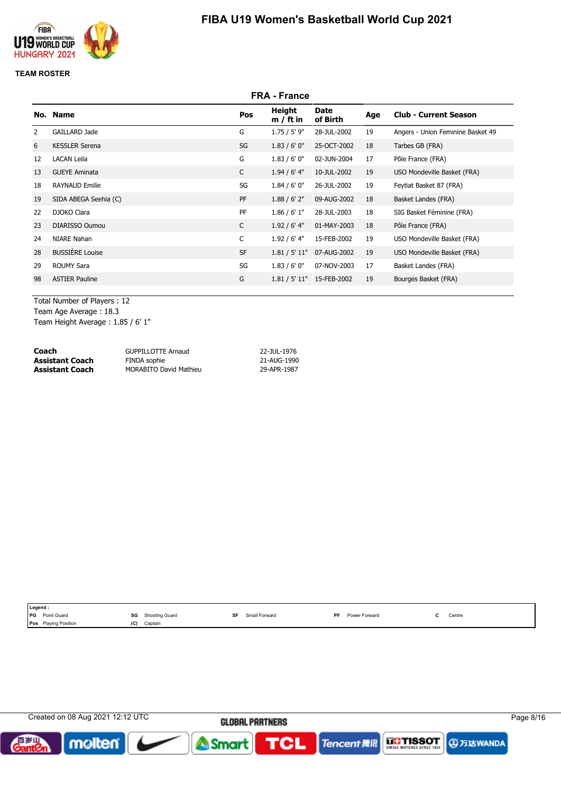

### **TEAM ROSTER**

|    | <b>FRA - France</b>    |              |                       |                           |     |                                   |  |
|----|------------------------|--------------|-----------------------|---------------------------|-----|-----------------------------------|--|
|    | No. Name               | Pos          | Height<br>$m / ft$ in | Date<br>of Birth          | Age | <b>Club - Current Season</b>      |  |
| 2  | GAILLARD Jade          | G            | 1.75 / 5' 9"          | 28-JUL-2002               | 19  | Angers - Union Feminine Basket 49 |  |
| 6  | <b>KESSLER Serena</b>  | SG           | 1.83 / 6' 0''         | 25-OCT-2002               | 18  | Tarbes GB (FRA)                   |  |
| 12 | <b>LACAN Leila</b>     | G            | 1.83/6'0''            | 02-JUN-2004               | 17  | Pôle France (FRA)                 |  |
| 13 | <b>GUEYE Aminata</b>   | $\mathsf{C}$ | $1.94/6'$ 4"          | 10-JUL-2002               | 19  | USO Mondeville Basket (FRA)       |  |
| 18 | <b>RAYNAUD Emilie</b>  | SG           | 1.84 / 6' 0''         | 26-JUL-2002               | 19  | Feytiat Basket 87 (FRA)           |  |
| 19 | SIDA ABEGA Seehia (C)  | PF           | 1.88 / 6' 2''         | 09-AUG-2002               | 18  | Basket Landes (FRA)               |  |
| 22 | DJOKO Clara            | PF           | 1.86 / 6' 1''         | 28-JUL-2003               | 18  | SIG Basket Féminine (FRA)         |  |
| 23 | DIARISSO Oumou         | C            | 1.92 / 6' 4"          | 01-MAY-2003               | 18  | Pôle France (FRA)                 |  |
| 24 | NIARE Nahan            | C            | 1.92 / 6' 4"          | 15-FEB-2002               | 19  | USO Mondeville Basket (FRA)       |  |
| 28 | <b>BUSSIÈRE Louise</b> | <b>SF</b>    | 1.81 / 5' 11"         | 07-AUG-2002               | 19  | USO Mondeville Basket (FRA)       |  |
| 29 | <b>ROUMY Sara</b>      | SG           | 1.83/6'0''            | 07-NOV-2003               | 17  | Basket Landes (FRA)               |  |
| 98 | <b>ASTIER Pauline</b>  | G            |                       | 1.81 / 5' 11" 15-FEB-2002 | 19  | Bourges Basket (FRA)              |  |
|    |                        |              |                       |                           |     |                                   |  |

Total Number of Players : 12

Team Age Average : 18.3

Team Height Average : 1.85 / 6' 1"

| Coach                  | <b>GUPPILLOTTE Arnaud</b>     | 22-JUL-1976 |
|------------------------|-------------------------------|-------------|
| <b>Assistant Coach</b> | FINDA sophie                  | 21-AUG-1990 |
| <b>Assistant Coach</b> | <b>MORABITO David Mathieu</b> | 29-APR-1987 |

| Legend :                                                                     |                                                                          |                            |               |                                               |
|------------------------------------------------------------------------------|--------------------------------------------------------------------------|----------------------------|---------------|-----------------------------------------------|
| <b>IPG</b><br>Point Guard<br>the contract of the contract of the contract of | SG<br>Shooting Guard<br>$\sim$ $\sim$<br>the contract of the contract of | Small Forward<br>eг<br>æт. | PF<br>Forward | Centre<br>the contract of the contract of the |
| <b>Pos</b><br>g Position<br>Plaving                                          | (C)<br>Captain                                                           |                            |               |                                               |

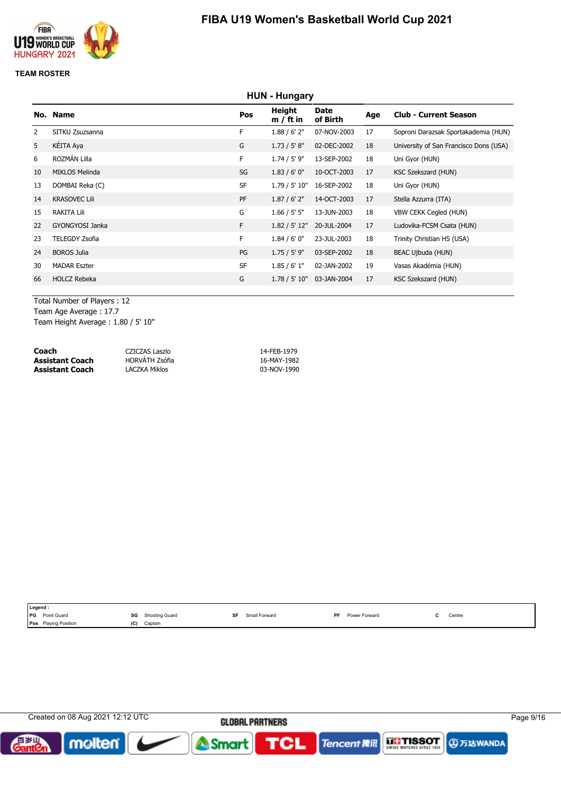

#### **TEAM ROSTER**

|    | <b>HUN - Hungary</b>  |           |                       |                         |     |                                        |  |
|----|-----------------------|-----------|-----------------------|-------------------------|-----|----------------------------------------|--|
|    | No. Name              | Pos       | Height<br>$m / ft$ in | <b>Date</b><br>of Birth | Age | <b>Club - Current Season</b>           |  |
| 2  | SITKU Zsuzsanna       | F         | 1.88 / 6' 2''         | 07-NOV-2003             | 17  | Soproni Darazsak Sportakademia (HUN)   |  |
| 5  | KÉITA Aya             | G         | 1.73 / 5' 8''         | 02-DEC-2002             | 18  | University of San Francisco Dons (USA) |  |
| 6  | ROZMÁN Lilla          | F.        | $1.74 / 5'$ 9"        | 13-SEP-2002             | 18  | Uni Gyor (HUN)                         |  |
| 10 | <b>MIKLOS Melinda</b> | SG        | 1.83/6'0''            | 10-OCT-2003             | 17  | KSC Szekszard (HUN)                    |  |
| 13 | DOMBAI Reka (C)       | <b>SF</b> | 1.79 / 5' 10"         | 16-SEP-2002             | 18  | Uni Gyor (HUN)                         |  |
| 14 | <b>KRASOVEC Lili</b>  | PF        | 1.87 / 6' 2''         | 14-OCT-2003             | 17  | Stella Azzurra (ITA)                   |  |
| 15 | RAKITA Lili           | G         | $1.66 / 5'$ 5"        | 13-JUN-2003             | 18  | VBW CEKK Cegled (HUN)                  |  |
| 22 | GYONGYOSI Janka       | F.        | 1.82 / 5' 12"         | 20-JUL-2004             | 17  | Ludovika-FCSM Csata (HUN)              |  |
| 23 | <b>TELEGDY Zsofia</b> | F         | 1.84 / 6' 0''         | 23-JUL-2003             | 18  | Trinity Christian HS (USA)             |  |
| 24 | <b>BOROS Julia</b>    | PG        | $1.75 / 5'$ 9"        | 03-SEP-2002             | 18  | BEAC Ujbuda (HUN)                      |  |
| 30 | <b>MADAR Eszter</b>   | <b>SF</b> | 1.85/6'1"             | 02-JAN-2002             | 19  | Vasas Akadémia (HUN)                   |  |
| 66 | <b>HOLCZ Rebeka</b>   | G         | 1.78 / 5' 10"         | 03-JAN-2004             | 17  | KSC Szekszard (HUN)                    |  |
|    |                       |           |                       |                         |     |                                        |  |

Total Number of Players : 12 Team Age Average : 17.7 Team Height Average : 1.80 / 5' 10"

**Coach** CZICZAS Laszlo 14-FEB-1979 **Assistant Coach** HORVÁTH Zsófia 16-MAY-1982 **Assistant Coach** LACZKA Miklos 03-NOV-1990

|            | Legend:                     |     |                |           |               |           |               |        |
|------------|-----------------------------|-----|----------------|-----------|---------------|-----------|---------------|--------|
| <b>IPG</b> | Point Guard                 | SG  | Shooting Guard | <b>SF</b> | Small Forward | <b>DF</b> | Power Forward | Centre |
|            | <b>Pos</b> Playing Position | (C) | Captain        |           |               |           |               |        |

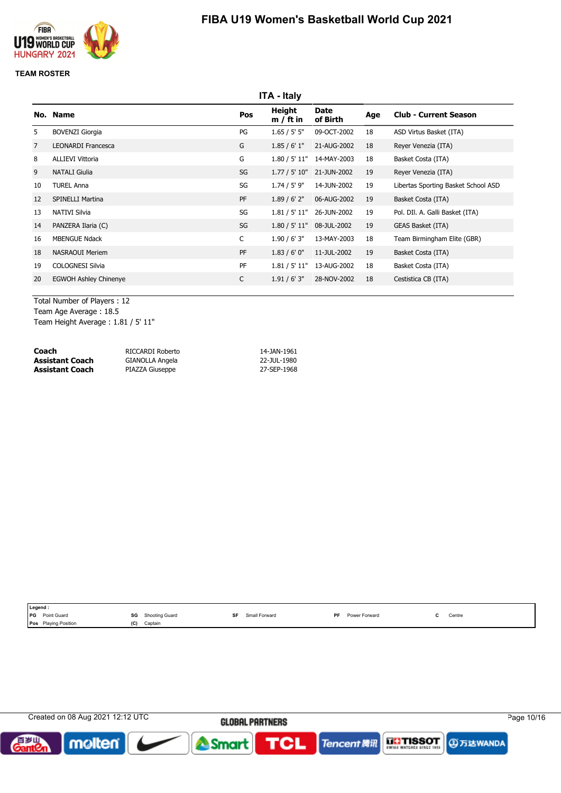

### **TEAM ROSTER**

|                | <b>ITA - Italy</b>           |           |                       |                           |     |                                     |  |
|----------------|------------------------------|-----------|-----------------------|---------------------------|-----|-------------------------------------|--|
|                | No. Name                     | Pos       | Height<br>$m / ft$ in | Date<br>of Birth          | Age | <b>Club - Current Season</b>        |  |
| 5              | <b>BOVENZI Giorgia</b>       | PG        | 1.65 / 5' 5''         | 09-OCT-2002               | 18  | ASD Virtus Basket (ITA)             |  |
| $\overline{7}$ | <b>LEONARDI Francesca</b>    | G         | 1.85/6'1"             | 21-AUG-2002               | 18  | Reyer Venezia (ITA)                 |  |
| 8              | <b>ALLIEVI Vittoria</b>      | G         |                       | 1.80 / 5' 11" 14-MAY-2003 | 18  | Basket Costa (ITA)                  |  |
| 9              | <b>NATALI Giulia</b>         | SG        |                       | 1.77 / 5' 10" 21-JUN-2002 | 19  | Reyer Venezia (ITA)                 |  |
| 10             | <b>TUREL Anna</b>            | SG        | $1.74 / 5'$ 9"        | 14-JUN-2002               | 19  | Libertas Sporting Basket School ASD |  |
| 12             | <b>SPINELLI Martina</b>      | PF        | $1.89/6'$ 2"          | 06-AUG-2002               | 19  | Basket Costa (ITA)                  |  |
| 13             | NATIVI Silvia                | SG        |                       | 1.81 / 5' 11" 26-JUN-2002 | 19  | Pol. DII. A. Galli Basket (ITA)     |  |
| 14             | PANZERA Ilaria (C)           | SG        | 1.80 / 5' 11"         | 08-JUL-2002               | 19  | GEAS Basket (ITA)                   |  |
| 16             | <b>MBENGUE Ndack</b>         | C         | 1.90 / 6' 3''         | 13-MAY-2003               | 18  | Team Birmingham Elite (GBR)         |  |
| 18             | <b>NASRAOUI Meriem</b>       | <b>PF</b> | 1.83/6'0''            | 11-JUL-2002               | 19  | Basket Costa (ITA)                  |  |
| 19             | <b>COLOGNESI Silvia</b>      | PF        | 1.81 / 5' 11"         | 13-AUG-2002               | 18  | Basket Costa (ITA)                  |  |
| 20             | <b>EGWOH Ashley Chinenye</b> | C         | 1.91 / 6' 3''         | 28-NOV-2002               | 18  | Cestistica CB (ITA)                 |  |
|                |                              |           |                       |                           |     |                                     |  |

Total Number of Players : 12 Team Age Average : 18.5 Team Height Average : 1.81 / 5' 11"

| Coach           | RICCARDI Roberto | 14-JAN-1961 |
|-----------------|------------------|-------------|
| Assistant Coach | GIANOLLA Angela  | 22-JUL-1980 |
| Assistant Coach | PIAZZA Giuseppe  | 27-SEP-1968 |

| Legend:                   |                      |                     |                            |                                           |  |
|---------------------------|----------------------|---------------------|----------------------------|-------------------------------------------|--|
| <b>IPG</b><br>Point Guard | SG<br>Shooting Guard | Small Forward<br>SF | <b>PF</b><br>Power Forward | Centre<br>the contract of the contract of |  |
| Pos Playing Position      | (C)<br>Captain       |                     |                            |                                           |  |

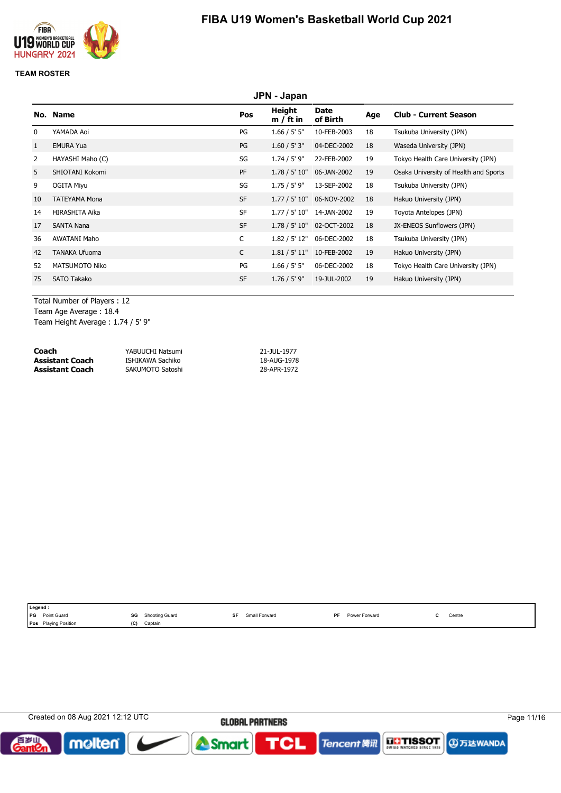

### **TEAM ROSTER**

|                | JPN - Japan           |              |                       |                           |     |                                       |
|----------------|-----------------------|--------------|-----------------------|---------------------------|-----|---------------------------------------|
|                | No. Name              | Pos          | Height<br>$m / ft$ in | Date<br>of Birth          | Age | <b>Club - Current Season</b>          |
| $\mathbf{0}$   | YAMADA Aoi            | PG           | 1.66 / 5' 5''         | 10-FEB-2003               | 18  | Tsukuba University (JPN)              |
| $\mathbf{1}$   | <b>EMURA Yua</b>      | PG           | 1.60 / 5' 3''         | 04-DEC-2002               | 18  | Waseda University (JPN)               |
| $\overline{2}$ | HAYASHI Maho (C)      | SG           | $1.74 / 5'$ 9"        | 22-FEB-2002               | 19  | Tokyo Health Care University (JPN)    |
| 5              | SHIOTANI Kokomi       | <b>PF</b>    | 1.78 / 5' 10"         | 06-JAN-2002               | 19  | Osaka University of Health and Sports |
| 9              | <b>OGITA Miyu</b>     | SG           | $1.75 / 5'$ 9"        | 13-SEP-2002               | 18  | Tsukuba University (JPN)              |
| 10             | <b>TATEYAMA Mona</b>  | <b>SF</b>    | 1.77 / 5' 10"         | 06-NOV-2002               | 18  | Hakuo University (JPN)                |
| 14             | <b>HIRASHITA Aika</b> | <b>SF</b>    | 1.77 / 5' 10"         | 14-JAN-2002               | 19  | Toyota Antelopes (JPN)                |
| 17             | <b>SANTA Nana</b>     | <b>SF</b>    |                       | 1.78 / 5' 10" 02-OCT-2002 | 18  | JX-ENEOS Sunflowers (JPN)             |
| 36             | <b>AWATANI Maho</b>   | C            | 1.82 / 5' 12"         | 06-DEC-2002               | 18  | Tsukuba University (JPN)              |
| 42             | <b>TANAKA Ufuoma</b>  | $\mathsf{C}$ |                       | 1.81 / 5' 11" 10-FEB-2002 | 19  | Hakuo University (JPN)                |
| 52             | <b>MATSUMOTO Niko</b> | PG           | 1.66 / 5' 5''         | 06-DEC-2002               | 18  | Tokyo Health Care University (JPN)    |
| 75             | <b>SATO Takako</b>    | <b>SF</b>    | $1.76 / 5'$ 9"        | 19-JUL-2002               | 19  | Hakuo University (JPN)                |

Total Number of Players : 12 Team Age Average : 18.4

Team Height Average : 1.74 / 5' 9"

| Coach                  | YABUUCHI Natsumi | 21-JUL-1977 |
|------------------------|------------------|-------------|
| <b>Assistant Coach</b> | ISHIKAWA Sachiko | 18-AUG-1978 |
| <b>Assistant Coach</b> | SAKUMOTO Satoshi | 28-APR-1972 |

| Legend:    |                      |     |                |    |               |           |               |        |
|------------|----------------------|-----|----------------|----|---------------|-----------|---------------|--------|
| <b>IPG</b> | Point Guard          | SG  | Shooting Guard | SF | Small Forward | <b>DF</b> | Power Forward | Centre |
|            | Pos Playing Position | (C) | Captain        |    |               |           |               |        |

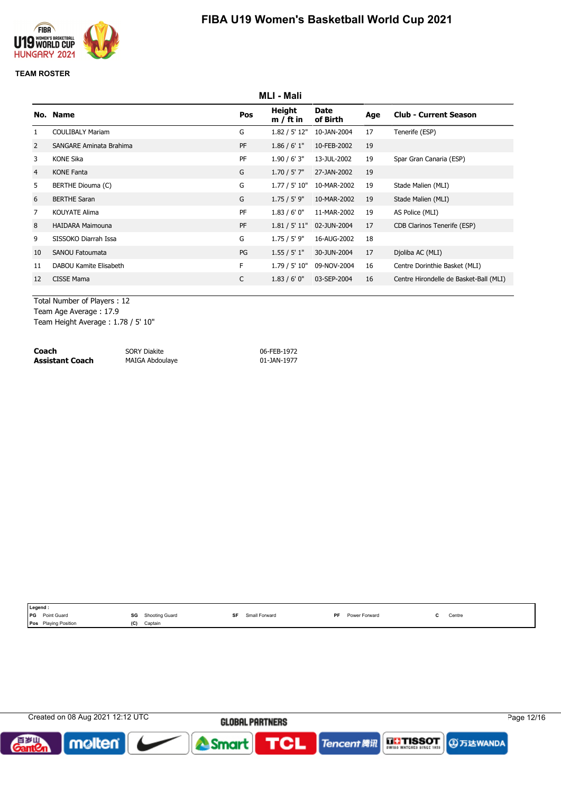

### **TEAM ROSTER**

|                | MLI - Mali              |              |                       |                  |     |                                        |  |  |
|----------------|-------------------------|--------------|-----------------------|------------------|-----|----------------------------------------|--|--|
|                | No. Name                | Pos          | Height<br>$m / ft$ in | Date<br>of Birth | Age | <b>Club - Current Season</b>           |  |  |
|                | <b>COULIBALY Mariam</b> | G            | 1.82 / 5' 12"         | 10-JAN-2004      | 17  | Tenerife (ESP)                         |  |  |
| 2              | SANGARE Aminata Brahima | <b>PF</b>    | 1.86 / 6' 1''         | 10-FEB-2002      | 19  |                                        |  |  |
| 3              | <b>KONE Sika</b>        | PF           | 1.90 / 6' 3''         | 13-JUL-2002      | 19  | Spar Gran Canaria (ESP)                |  |  |
| $\overline{4}$ | <b>KONE Fanta</b>       | G            | $1.70 / 5'$ 7"        | 27-JAN-2002      | 19  |                                        |  |  |
| 5              | BERTHE Diouma (C)       | G            | 1.77 / 5' 10"         | 10-MAR-2002      | 19  | Stade Malien (MLI)                     |  |  |
| 6              | <b>BERTHE Saran</b>     | G            | 1.75 / 5' 9''         | 10-MAR-2002      | 19  | Stade Malien (MLI)                     |  |  |
| 7              | <b>KOUYATE Alima</b>    | PF           | 1.83 / 6' 0''         | 11-MAR-2002      | 19  | AS Police (MLI)                        |  |  |
| 8              | <b>HAIDARA Maimouna</b> | <b>PF</b>    | 1.81 / 5' 11"         | 02-JUN-2004      | 17  | CDB Clarinos Tenerife (ESP)            |  |  |
| 9              | SISSOKO Diarrah Issa    | G            | $1.75 / 5'$ 9"        | 16-AUG-2002      | 18  |                                        |  |  |
| 10             | <b>SANOU Fatoumata</b>  | PG           | 1.55 / 5' 1''         | 30-JUN-2004      | 17  | Djoliba AC (MLI)                       |  |  |
| 11             | DABOU Kamite Elisabeth  | F.           | 1.79 / 5' 10"         | 09-NOV-2004      | 16  | Centre Dorinthie Basket (MLI)          |  |  |
| 12             | <b>CISSE Mama</b>       | $\mathsf{C}$ | 1.83 / 6' 0''         | 03-SEP-2004      | 16  | Centre Hirondelle de Basket-Ball (MLI) |  |  |

Total Number of Players : 12 Team Age Average : 17.9 Team Height Average : 1.78 / 5' 10"

| Coach           | <b>SORY Diakite</b> | 06-FEB-1972 |
|-----------------|---------------------|-------------|
| Assistant Coach | MAIGA Abdoulaye     | 01-JAN-1977 |

| Legend:                     |     |                          |    |               |                         |        |
|-----------------------------|-----|--------------------------|----|---------------|-------------------------|--------|
| <b>PG</b> Point Guard       |     | <b>SG</b> Shooting Guard | SF | Small Forward | <b>PF</b> Power Forward | Centre |
| <b>Pos</b> Playing Position | (C) | Captain                  |    |               |                         |        |

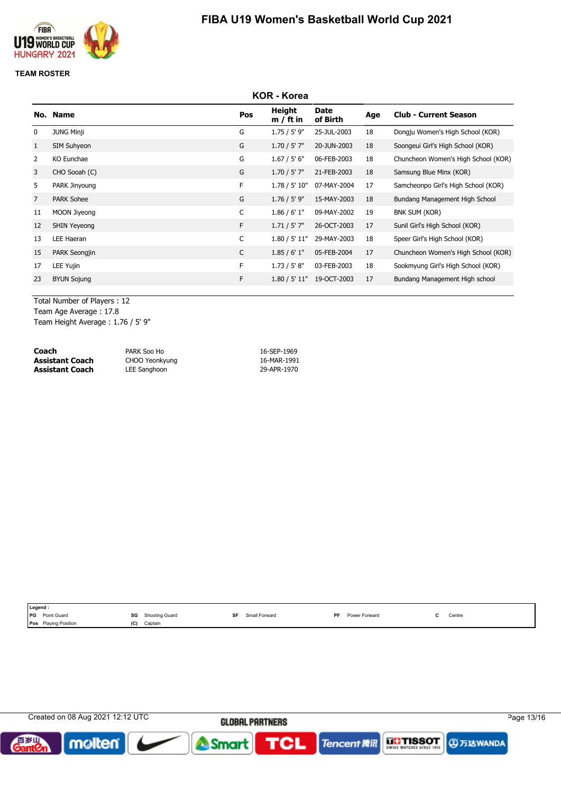

### **TEAM ROSTER**

|                | <b>KOR - Korea</b>   |     |                       |                  |     |                                     |  |
|----------------|----------------------|-----|-----------------------|------------------|-----|-------------------------------------|--|
|                | No. Name             | Pos | Height<br>$m / ft$ in | Date<br>of Birth | Age | <b>Club - Current Season</b>        |  |
| 0              | <b>JUNG Minji</b>    | G   | $1.75 / 5'$ 9"        | 25-JUL-2003      | 18  | Dongju Women's High School (KOR)    |  |
| 1              | SIM Suhyeon          | G   | $1.70 / 5'$ 7"        | 20-JUN-2003      | 18  | Soongeui Girl's High School (KOR)   |  |
| $\overline{2}$ | KO Eunchae           | G   | 1.67 / 5' 6''         | 06-FEB-2003      | 18  | Chuncheon Women's High School (KOR) |  |
| 3              | CHO Sooah (C)        | G   | $1.70 / 5'$ 7"        | 21-FEB-2003      | 18  | Samsung Blue Minx (KOR)             |  |
| 5              | PARK Jinyoung        | F   | 1.78 / 5' 10"         | 07-MAY-2004      | 17  | Samcheonpo Girl's High School (KOR) |  |
| $\overline{7}$ | <b>PARK Sohee</b>    | G   | $1.76 / 5'$ 9"        | 15-MAY-2003      | 18  | Bundang Management High School      |  |
| 11             | MOON Jiyeong         | C   | 1.86 / 6' 1''         | 09-MAY-2002      | 19  | BNK SUM (KOR)                       |  |
| 12             | <b>SHIN Yeyeong</b>  | F   | $1.71 / 5'$ 7"        | 26-OCT-2003      | 17  | Sunil Girl's High School (KOR)      |  |
| 13             | <b>LEE Haeran</b>    | C   | 1.80 / 5' 11"         | 29-MAY-2003      | 18  | Speer Girl's High School (KOR)      |  |
| 15             | <b>PARK Seongjin</b> | C   | 1.85/6'1"             | 05-FEB-2004      | 17  | Chuncheon Women's High School (KOR) |  |
| 17             | LEE Yujin            | F   | 1.73 / 5' 8''         | 03-FEB-2003      | 18  | Sookmyung Girl's High School (KOR)  |  |
| 23             | <b>BYUN Sojung</b>   | F.  | 1.80 / 5' 11"         | 19-OCT-2003      | 17  | Bundang Management High school      |  |
|                |                      |     |                       |                  |     |                                     |  |

Total Number of Players : 12

Team Age Average : 17.8 Team Height Average : 1.76 / 5' 9"

| Coach                  | PARK Soo Ho    | 16-SEP-1969 |
|------------------------|----------------|-------------|
| <b>Assistant Coach</b> | CHOO Yeonkyung | 16-MAR-1991 |
| <b>Assistant Coach</b> | LEE Sanghoon   | 29-APR-1970 |

|            | Legend :                    |     |                |    |               |           |               |        |
|------------|-----------------------------|-----|----------------|----|---------------|-----------|---------------|--------|
| <b>IPG</b> | Point Guard                 | SG  | Shooting Guard | SF | Small Forward | <b>DF</b> | Power Forward | Centre |
|            | <b>Pos</b> Playing Position | (C) | Captain        |    |               |           |               |        |

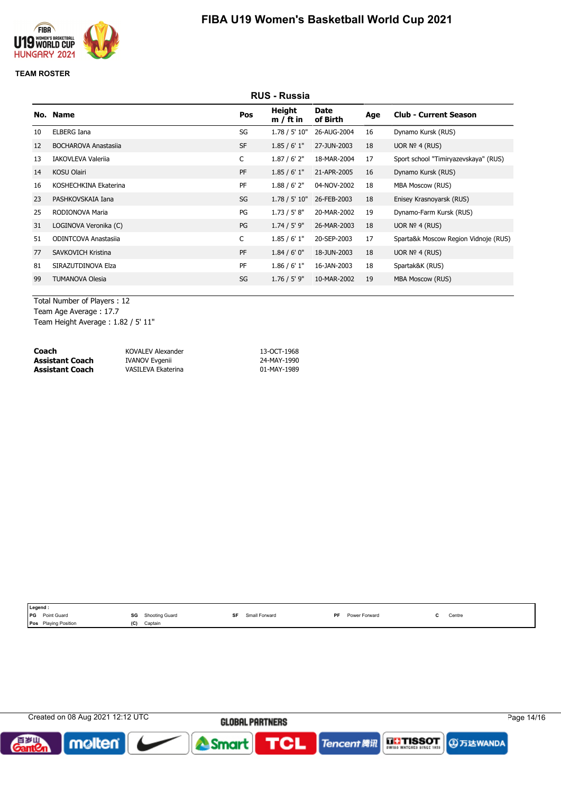

### **TEAM ROSTER**

|    | <b>RUS - Russia</b>         |           |                       |                  |     |                                      |
|----|-----------------------------|-----------|-----------------------|------------------|-----|--------------------------------------|
|    | No. Name                    | Pos       | Height<br>$m / ft$ in | Date<br>of Birth | Age | <b>Club - Current Season</b>         |
| 10 | ELBERG Iana                 | SG        | 1.78 / 5' 10"         | 26-AUG-2004      | 16  | Dynamo Kursk (RUS)                   |
| 12 | <b>BOCHAROVA Anastasija</b> | <b>SF</b> | 1.85/6'1"             | 27-JUN-2003      | 18  | UOR $No$ 4 (RUS)                     |
| 13 | <b>IAKOVLEVA Valerija</b>   | C         | 1.87 / 6' 2''         | 18-MAR-2004      | 17  | Sport school "Timiryazevskaya" (RUS) |
| 14 | <b>KOSU Olairi</b>          | PF        | 1.85/6'1"             | 21-APR-2005      | 16  | Dynamo Kursk (RUS)                   |
| 16 | KOSHECHKINA Ekaterina       | PF        | 1.88 / 6' 2''         | 04-NOV-2002      | 18  | <b>MBA Moscow (RUS)</b>              |
| 23 | PASHKOVSKAIA Iana           | SG        | 1.78 / 5' 10"         | 26-FEB-2003      | 18  | Enisey Krasnoyarsk (RUS)             |
| 25 | RODIONOVA Maria             | PG        | 1.73 / 5' 8''         | 20-MAR-2002      | 19  | Dynamo-Farm Kursk (RUS)              |
| 31 | LOGINOVA Veronika (C)       | PG        | $1.74 / 5'$ 9"        | 26-MAR-2003      | 18  | UOR $No$ 4 (RUS)                     |
| 51 | <b>ODINTCOVA Anastasija</b> | C         | 1.85/6'1"             | 20-SEP-2003      | 17  | Sparta&k Moscow Region Vidnoje (RUS) |
| 77 | SAVKOVICH Kristina          | PF        | 1.84 / 6' 0''         | 18-JUN-2003      | 18  | UOR $No$ 4 (RUS)                     |
| 81 | SIRAZUTDINOVA Elza          | PF        | 1.86 / 6' 1''         | 16-JAN-2003      | 18  | Spartak&K (RUS)                      |
| 99 | <b>TUMANOVA Olesia</b>      | SG        | $1.76 / 5'$ 9"        | 10-MAR-2002      | 19  | <b>MBA Moscow (RUS)</b>              |

Total Number of Players : 12 Team Age Average : 17.7 Team Height Average : 1.82 / 5' 11"

| Coach           | <b>KOVALEV Alexander</b> | 13-OCT-1968 |
|-----------------|--------------------------|-------------|
| Assistant Coach | IVANOV Evgenii           | 24-MAY-1990 |
| Assistant Coach | VASILEVA Ekaterina       | 01-MAY-1989 |

| Legend:    |                             |     |                |  |               |           |               |  |        |
|------------|-----------------------------|-----|----------------|--|---------------|-----------|---------------|--|--------|
| <b>IPG</b> | Point Guard                 | SG  | Shooting Guard |  | Small Forward | <b>DF</b> | Power Forward |  | Centre |
|            | <b>Pos</b> Playing Position | (C) | Captain        |  |               |           |               |  |        |

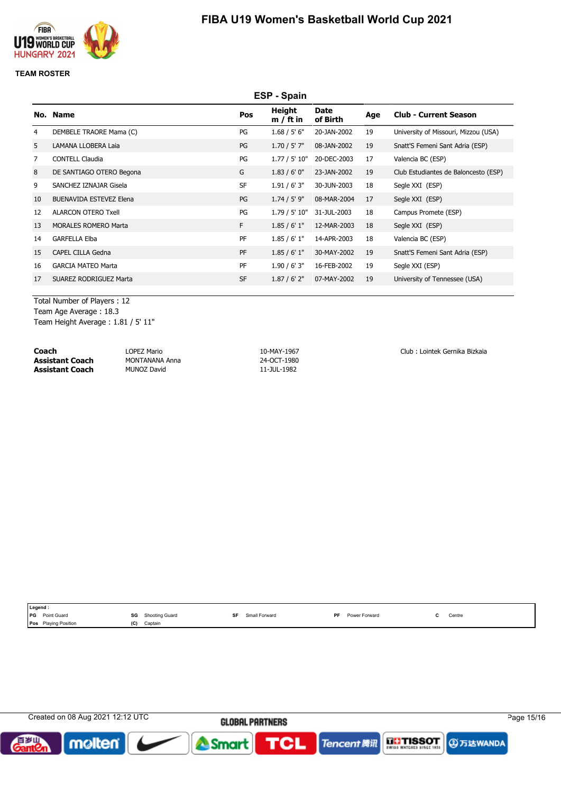

#### **TEAM ROSTER**

|                | <b>ESP - Spain</b>             |           |                              |                  |     |                                      |  |  |
|----------------|--------------------------------|-----------|------------------------------|------------------|-----|--------------------------------------|--|--|
|                | No. Name                       | Pos       | <b>Height</b><br>$m / ft$ in | Date<br>of Birth | Age | <b>Club - Current Season</b>         |  |  |
| 4              | DEMBELE TRAORE Mama (C)        | PG        | 1.68 / 5' 6''                | 20-JAN-2002      | 19  | University of Missouri, Mizzou (USA) |  |  |
| 5              | LAMANA LLOBERA Laia            | PG        | $1.70 / 5'$ 7"               | 08-JAN-2002      | 19  | Snatt'S Femeni Sant Adria (ESP)      |  |  |
| $\overline{7}$ | <b>CONTELL Claudia</b>         | PG        | 1.77 / 5' 10"                | 20-DEC-2003      | 17  | Valencia BC (ESP)                    |  |  |
| 8              | DE SANTIAGO OTERO Begona       | G         | 1.83/6'0''                   | 23-JAN-2002      | 19  | Club Estudiantes de Baloncesto (ESP) |  |  |
| 9              | SANCHEZ IZNAJAR Gisela         | <b>SF</b> | 1.91 / 6' 3''                | 30-JUN-2003      | 18  | Segle XXI (ESP)                      |  |  |
| 10             | <b>BUENAVIDA ESTEVEZ Elena</b> | PG        | $1.74 / 5'$ 9"               | 08-MAR-2004      | 17  | Segle XXI (ESP)                      |  |  |
| 12             | <b>ALARCON OTERO Txell</b>     | PG        | 1.79 / 5' 10"                | 31-JUL-2003      | 18  | Campus Promete (ESP)                 |  |  |
| 13             | <b>MORALES ROMERO Marta</b>    | F.        | 1.85/6'1"                    | 12-MAR-2003      | 18  | Segle XXI (ESP)                      |  |  |
| 14             | <b>GARFELLA Elba</b>           | PF        | 1.85/6'1"                    | 14-APR-2003      | 18  | Valencia BC (ESP)                    |  |  |
| 15             | <b>CAPEL CILLA Gedna</b>       | PF        | 1.85/6'1"                    | 30-MAY-2002      | 19  | Snatt'S Femeni Sant Adria (ESP)      |  |  |
| 16             | <b>GARCIA MATEO Marta</b>      | PF        | 1.90 / 6' 3''                | 16-FEB-2002      | 19  | Segle XXI (ESP)                      |  |  |
| 17             | SUAREZ RODRIGUEZ Marta         | <b>SF</b> | 1.87 / 6' 2''                | 07-MAY-2002      | 19  | University of Tennessee (USA)        |  |  |
|                |                                |           |                              |                  |     |                                      |  |  |

Total Number of Players : 12 Team Age Average : 18.3 Team Height Average : 1.81 / 5' 11"

**Coach** Coach LOPEZ Mario 10-MAY-1967 Cub : Lointek Gernika Bizkaia **Assistant Coach** MONTANANA Anna 24-OCT-1980 **Assistant Coach** MUNOZ David 11-JUL-1982

| Legend :                  |                     |                              |    |               |           |                      |                                               |
|---------------------------|---------------------|------------------------------|----|---------------|-----------|----------------------|-----------------------------------------------|
| <b>IPG</b><br>Point Guard | SG<br>$\sim$ $\sim$ | Shooting Guard<br><b>ONO</b> | SF | Small Forward | <b>DE</b> | <b>Power Forward</b> | Centre<br>the contract of the contract of the |
| Pos<br>Rosition ∗         | (C)                 | Captain                      |    |               |           |                      |                                               |